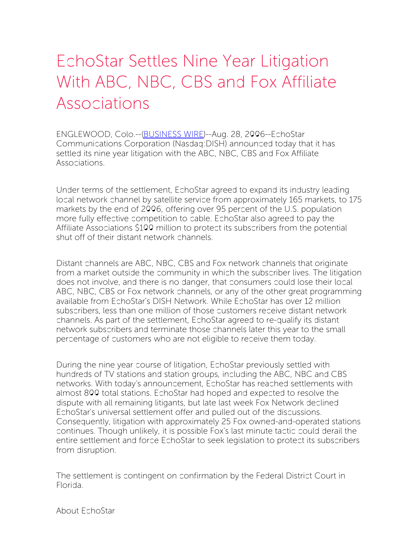## EchoStar Settles Nine Year Litigation With ABC, NBC, CBS and Fox Affiliate Associations

ENGLEWOOD, Colo.--[\(BUSINESS](http://www.businesswire.com/) WIRE)--Aug. 28, 2006--EchoStar Communications Corporation (Nasdaq:DISH) announced today that it has settled its nine year litigation with the ABC, NBC, CBS and Fox Affiliate Associations.

Under terms of the settlement, EchoStar agreed to expand its industry leading local network channel by satellite service from approximately 165 markets, to 175 markets by the end of 2006, offering over 95 percent of the U.S. population more fully effective competition to cable. EchoStar also agreed to pay the Affiliate Associations \$100 million to protect its subscribers from the potential shut off of their distant network channels.

Distant channels are ABC, NBC, CBS and Fox network channels that originate from a market outside the community in which the subscriber lives. The litigation does not involve, and there is no danger, that consumers could lose their local ABC, NBC, CBS or Fox network channels, or any of the other great programming available from EchoStar's DISH Network. While EchoStar has over 12 million subscribers, less than one million of those customers receive distant network channels. As part of the settlement, EchoStar agreed to re-qualify its distant network subscribers and terminate those channels later this year to the small percentage of customers who are not eligible to receive them today.

During the nine year course of litigation, EchoStar previously settled with hundreds of TV stations and station groups, including the ABC, NBC and CBS networks. With today's announcement, EchoStar has reached settlements with almost 800 total stations. EchoStar had hoped and expected to resolve the dispute with all remaining litigants, but late last week Fox Network declined EchoStar's universal settlement offer and pulled out of the discussions. Consequently, litigation with approximately 25 Fox owned-and-operated stations continues. Though unlikely, it is possible Fox's last minute tactic could derail the entire settlement and force EchoStar to seek legislation to protect its subscribers from disruption.

The settlement is contingent on confirmation by the Federal District Court in Florida.

About EchoStar